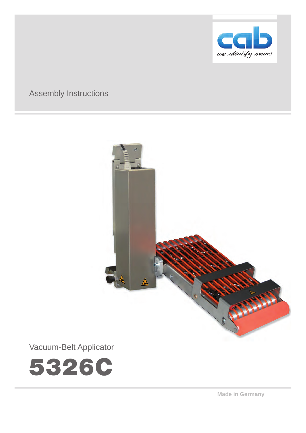

# Assembly Instructions



Vacuum-Belt Applicator



**Made in Germany**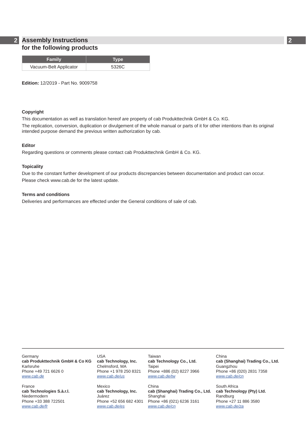## **2 2 Assembly Instructions for the following products**

| <b>Family</b>          | Type, |
|------------------------|-------|
| Vacuum-Belt Applicator | 5326C |

**Edition:** 12/2019 - Part No. 9009758

#### **Copyright**

This documentation as well as translation hereof are property of cab Produkttechnik GmbH & Co. KG.

The replication, conversion, duplication or divulgement of the whole manual or parts of it for other intentions than its original intended purpose demand the previous written authorization by cab.

#### **Editor**

Regarding questions or comments please contact cab Produkttechnik GmbH & Co. KG.

#### **Topicality**

Due to the constant further development of our products discrepancies between documentation and product can occur. Please check www.cab.de for the latest update.

#### **Terms and conditions**

Deliveries and performances are effected under the General conditions of sale of cab.

**Germany cab Produkttechnik GmbH & Co KG** Karlsruhe Phone +49 721 6626 0 *www.cab.de*

France **cab Technologies S.à.r.l.** Niedermodern Phone +33 388 722501 *www.cab.de/fr*

USA **cab Technology, Inc.** Chelmsford, MA Phone +1 978 250 8321 *www.cab.de/us*

Mexico **cab Technology, Inc.** Juárez Phone +52 656 682 4301 *www.cab.de/es*

Taiwan **cab Technology Co., Ltd.** Taipei Phone +886 (02) 8227 3966 *www.cab.de/tw*

China **cab (Shanghai) Trading Co., Ltd.** Shanghai Phone +86 (021) 6236 3161 *www.cab.de/cn*

China **cab (Shanghai) Trading Co., Ltd.** Guangzhou Phone +86 (020) 2831 7358 *www.cab.de/cn*

South Africa **cab Technology (Pty) Ltd.** Randburg Phone +27 11 886 3580 *www.cab.de/za*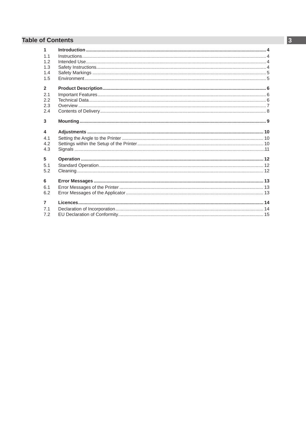# **Table of Contents**

| $\blacktriangleleft$ |  |
|----------------------|--|
| 1.1<br>1.2           |  |
| 1.3                  |  |
| 1.4                  |  |
| 1.5                  |  |
| $\overline{2}$       |  |
| 21                   |  |
| 2.2                  |  |
| 2.3                  |  |
| 2.4                  |  |
| 3                    |  |
|                      |  |
| 4                    |  |
| 4.1<br>42            |  |
|                      |  |
|                      |  |
| 4.3                  |  |
| 5                    |  |
| 5.1                  |  |
| 5.2                  |  |
| 6                    |  |
| 6.1                  |  |
| 6.2                  |  |
| $\overline{7}$       |  |
| 7.1                  |  |
| 7.2                  |  |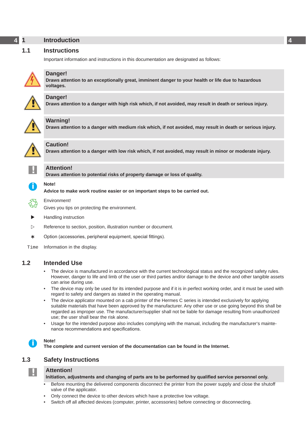# <span id="page-3-0"></span>**4 1 Introduction 4**

#### **1.1 Instructions**

<span id="page-3-1"></span>Important information and instructions in this documentation are designated as follows:



**Danger!**

**Draws attention to an exceptionally great, imminent danger to your health or life due to hazardous voltages.**



**! Danger! Draws attention to a danger with high risk which, if not avoided, may result in death or serious injury.**



**Warning!**<br>Draws attention to a danger with medium risk which, if not avoided, may result in death or serious injury.



## **Caution!**

**Draws attention to a danger with low risk which, if not avoided, may result in minor or moderate injury.**

| ٠ |  |
|---|--|
|   |  |
|   |  |
|   |  |

**! Attention! Draws attention to potential risks of property damage or loss of quality.**

### **i Note!**

**Advice to make work routine easier or on important steps to be carried out.**



Gives you tips on protecting the environment.

**EXECUTE:** Handling instruction

Environment!

- $\triangleright$  Reference to section, position, illustration number or document.
- \* Option (accessories, peripheral equipment, special fittings).

Time Information in the display.

### **1.2 Intended Use**

- The device is manufactured in accordance with the current technological status and the recognized safety rules. However, danger to life and limb of the user or third parties and/or damage to the device and other tangible assets can arise during use.
- The device may only be used for its intended purpose and if it is in perfect working order, and it must be used with regard to safety and dangers as stated in the operating manual.
- The device applicator mounted on a cab printer of the Hermes C series is intended exclusively for applying suitable materials that have been approved by the manufacturer. Any other use or use going beyond this shall be regarded as improper use. The manufacturer/supplier shall not be liable for damage resulting from unauthorized use; the user shall bear the risk alone.
- Usage for the intended purpose also includes complying with the manual, including the manufacturer's maintenance recommendations and specifications.



**i Note! The complete and current version of the documentation can be found in the Internet.**

# **1.3 Safety Instructions**

## **! Attention!**

#### **Initiation, adjustments and changing of parts are to be performed by qualified service personnel only.**

- Before mounting the delivered components disconnect the printer from the power supply and close the shutoff valve of the applicator.
- Only connect the device to other devices which have a protective low voltage.
- Switch off all affected devices (computer, printer, accessories) before connecting or disconnecting.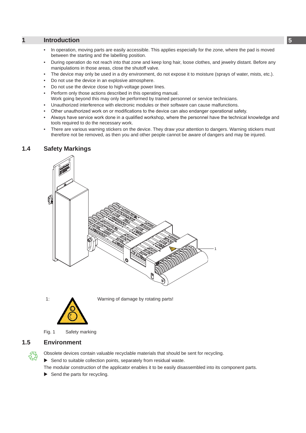# <span id="page-4-0"></span>**1 [Introduction](#page-3-1) 5**

- In operation, moving parts are easily accessible. This applies especially for the zone, where the pad is moved between the starting and the labelling position.
- During operation do not reach into that zone and keep long hair, loose clothes, and jewelry distant. Before any manipulations in those areas, close the shutoff valve.
- The device may only be used in a dry environment, do not expose it to moisture (sprays of water, mists, etc.).
- Do not use the device in an explosive atmosphere.
- Do not use the device close to high-voltage power lines.
- Perform only those actions described in this operating manual.
- Work going beyond this may only be performed by trained personnel or service technicians.
- Unauthorized interference with electronic modules or their software can cause malfunctions.
- Other unauthorized work on or modifications to the device can also endanger operational safety.
- Always have service work done in a qualified workshop, where the personnel have the technical knowledge and tools required to do the necessary work.
- There are various warning stickers on the device. They draw your attention to dangers. Warning stickers must therefore not be removed, as then you and other people cannot be aware of dangers and may be injured.

#### **1.4 Safety Markings**



1: Warning of damage by rotating parts!

Fig. 1 Safety marking

#### **1.5 Environment**

Obsolete devices contain valuable recyclable materials that should be sent for recycling.

 $\blacktriangleright$  Send to suitable collection points, separately from residual waste.

The modular construction of the applicator enables it to be easily disassembled into its component parts.

 $\blacktriangleright$  Send the parts for recycling.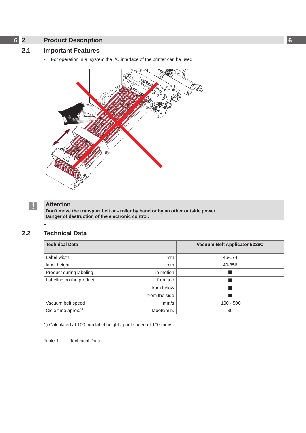# <span id="page-5-0"></span>**6 2 Product Description 6**

# **2.1 Important Features**

<span id="page-5-1"></span>• For operation in a system the I/O interface of the printer can be used.



**•**

# **! Attention**

**Don't move the transport belt or - roller by hand or by an other outside power. Danger of destruction of the electronic control.**

#### **2.2 Technical Data**

| <b>Technical Data</b>           |               | Vacuum-Belt Applicator 5326C |
|---------------------------------|---------------|------------------------------|
| Label width                     | <sub>mm</sub> | 46-174                       |
| label height                    | mm            | 40-356                       |
| Product during labeling         | in motion     |                              |
| Labeling on the product         | from top      |                              |
|                                 | from below    |                              |
|                                 | from the side |                              |
| Vacuum belt speed               | mm/s          | $100 - 500$                  |
| Cicle time aprox. <sup>1)</sup> | labels/min.   | 30                           |

1) Calculated at 100 mm label height / print speed of 100 mm/s

Table 1 Technical Data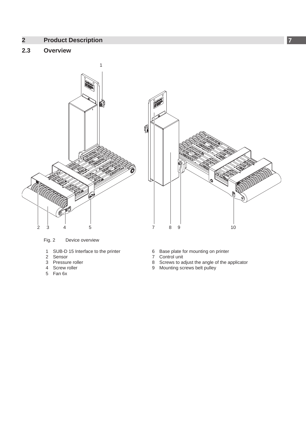# <span id="page-6-0"></span>**2 [Product Description](#page-5-1) 7**

# **2.3 Overview**



Fig. 2 Device overview

- 1 SUB-D 15 Interface to the printer<br>2 Sensor
- 2 Sensor<br>3 Pressur
- Pressure roller
- 4 Screw roller
- 5 Fan 6x
- 6 Base plate for mounting on printer
- 7 Control unit
- 8 Screws to adjust the angle of the applicator
- 9 Mounting screws belt pulley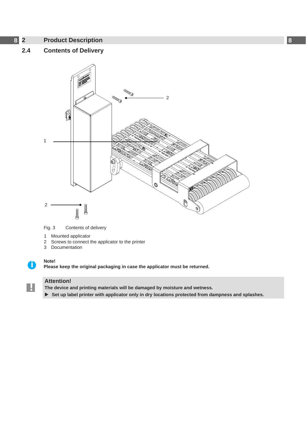# <span id="page-7-0"></span>**8 2 [Product Description](#page-5-1) 8**

# **2.4 Contents of Delivery**



Fig. 3 Contents of delivery

- 1 Mounted applicator
- 2 Screws to connect the applicator to the printer
- 3 Documentation

**!**

**i Note! Please keep the original packaging in case the applicator must be returned.**

# **Attention!**

**The device and printing materials will be damaged by moisture and wetness.**

▶ Set up label printer with applicator only in dry locations protected from dampness and splashes.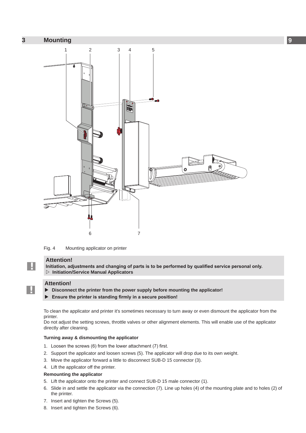<span id="page-8-0"></span>

Fig. 4 Mounting applicator on printer

#### **Attention!**

**!**

**!**

**Initiation, adjustments and changing of parts is to be performed by qualified service personal only. Initiation/Service Manual Applicators**

#### **Attention!**

- $\triangleright$  Disconnect the printer from the power supply before mounting the applicator!
- Ensure the printer is standing firmly in a secure position!

To clean the applicator and printer it's sometimes necessary to turn away or even dismount the applicator from the printer.

Do not adjust the setting screws, throttle valves or other alignment elements. This will enable use of the applicator directly after cleaning.

#### **Turning away & dismounting the applicator**

- 1. Loosen the screws (6) from the lower attachment (7) first.
- 2. Support the applicator and loosen screws (5). The applicator will drop due to its own weight.
- 3. Move the applicator forward a little to disconnect SUB-D 15 connector (3).
- 4. Lift the applicator off the printer.

#### **Remounting the applicator**

- 5. Lift the applicator onto the printer and connect SUB-D 15 male connector (1).
- 6. Slide in and settle the applicator via the connection (7). Line up holes (4) of the mounting plate and to holes (2) of the printer.
- 7. Insert and tighten the Screws (5).
- 8. Insert and tighten the Screws (6).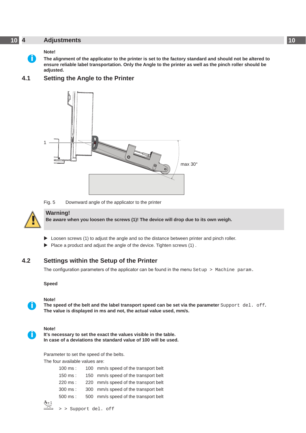#### <span id="page-9-0"></span>**10 4 Adjustments 10**

#### <span id="page-9-1"></span>**Note!**

**i**

**The alignment of the applicator to the printer is set to the factory standard and should not be altered to ensure reliable label transportation. Only the Angle to the printer as well as the pinch roller should be adjusted.**

# **4.1 Setting the Angle to the Printer**



Fig. 5 Downward angle of the applicator to the printer



**i**

**i**

#### **Warning!**

**Be aware when you loosen the screws (1)! The device will drop due to its own weigh.** 

- $\triangleright$  Loosen screws (1) to adjust the angle and so the distance between printer and pinch roller.
- $\blacktriangleright$  Place a product and adjust the angle of the device. Tighten screws (1).

### **4.2 Settings within the Setup of the Printer**

The configuration parameters of the applicator can be found in the menu Setup > Machine param.

#### **Speed**

#### **Note!**

**The speed of the belt and the label transport speed can be set via the parameter** Support del. off**. The value is displayed in ms and not, the actual value used, mm/s.**

#### **Note!**

**It's necessary to set the exact the values visible in the table. In case of a deviations the standard value of 100 will be used.**

Parameter to set the speed of the belts.

The four available values are:

| $100$ ms :         | 100 mm/s speed of the transport belt |
|--------------------|--------------------------------------|
| $150 \text{ ms}$ : | 150 mm/s speed of the transport belt |
| 220 ms :           | 220 mm/s speed of the transport belt |
| 300 ms :           | 300 mm/s speed of the transport belt |
| 500 ms :           | 500 mm/s speed of the transport belt |
|                    |                                      |



 $\widehat{\mathbb{R}}$  > > Support del. off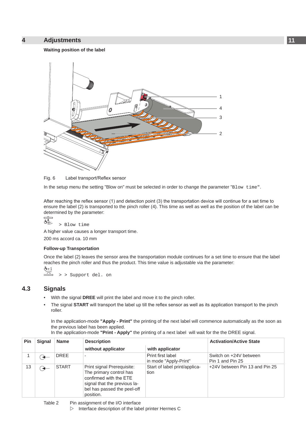#### <span id="page-10-0"></span>**4 [Adjustments](#page-9-1) 11**

# **Waiting position of the label**





In the setup menu the setting "Blow on" must be selected in order to change the parameter "Blow time".

After reaching the reflex sensor (1) and detection point (3) the transportation device will continue for a set time to ensure the label (2) is transported to the pinch roller (4). This time as well as well as the position of the label can be determined by the parameter:

 $\overline{\overline{\mathbb{B}}\overline{\mathbb{B}}\overline{\mathbb{B}}}$ 

> Blow time

A higher value causes a longer transport time. 200 ms accord ca. 10 mm

#### **Follow-up Transportation**

Once the label (2) leaves the sensor area the transportation module continues for a set time to ensure that the label reaches the pinch roller and thus the product. This time value is adjustable via the parameter:  $\mathring{\oplus}$  + 1

> > Support del. on

# **4.3 Signals**

- With the signal **DREE** will print the label and move it to the pinch roller.
- The signal **START** will transport the label up till the reflex sensor as well as its application transport to the pinch roller.

In the application-mode **"Apply - Print"** the printing of the next label will commence automatically as the soon as the previous label has been applied.

In the application-mode **"Print - Apply"** the printing of a next label will wait for the the DREE signal.

| Pin | <b>Signal</b> | <b>Name</b>  | <b>Description</b>                                                                                                                                          |                                            | <b>Activation/Active State</b>             |
|-----|---------------|--------------|-------------------------------------------------------------------------------------------------------------------------------------------------------------|--------------------------------------------|--------------------------------------------|
|     |               |              | without applicator                                                                                                                                          | with applicator                            |                                            |
|     |               | <b>DREE</b>  |                                                                                                                                                             | Print first label<br>in mode "Apply-Print" | Switch on +24V between<br>Pin 1 and Pin 25 |
| 13  |               | <b>START</b> | Print signal Prerequisite:<br>The primary control has<br>confirmed with the ETE<br>signal that the previous la-<br>bel has passed the peel-off<br>position. | Start of label print/applica-<br>tion      | +24V between Pin 13 and Pin 25             |

 $\triangleright$  Interface description of the label printer Hermes C

Table 2 Pin assignment of the I/O interface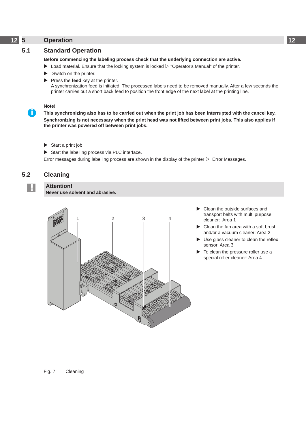## <span id="page-11-0"></span>**12 5 Operation 12**

### **5.1 Standard Operation**

#### **Before commencing the labeling process check that the underlying connection are active.**

- $\triangleright$  Load material. Ensure that the locking system is locked  $\triangleright$  "Operator's Manual" of the printer.
- Switch on the printer.
- Press the **feed** key at the printer. A synchronization feed is initiated. The processed labels need to be removed manually. After a few seconds the printer carries out a short back feed to position the front edge of the next label at the printing line.

#### **Note!**

**This synchronizing also has to be carried out when the print job has been interrupted with the cancel key. Synchronizing is not necessary when the print head was not lifted between print jobs. This also applies if the printer was powered off between print jobs.**

Start a print job

**! Attention!**

 $\triangleright$  Start the labelling process via PLC interface.

Error messages during labelling process are shown in the display of the printer  $\triangleright$  Error Messages.

### **5.2 Cleaning**

**i**

**Never use solvent and abrasive.**



- Clean the outside surfaces and transport belts with multi purpose cleaner: Area 1
- Clean the fan area with a soft brush and/or a vacuum cleaner: Area 2
- Use glass cleaner to clean the reflex sensor: Area 3
- To clean the pressure roller use a special roller cleaner: Area 4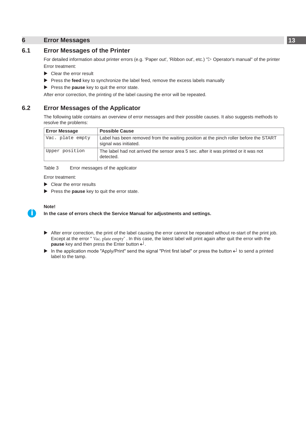#### <span id="page-12-0"></span>**6 Error Messages 13**

### **6.1 Error Messages of the Printer**

For detailed information about printer errors (e.g. 'Paper out', 'Ribbon out', etc.) " $\triangleright$  Operator's manual" of the printer Error treatment:

- $\blacktriangleright$  Clear the error result
- **EXECUTE:** Press the **feed** key to synchronize the label feed, remove the excess labels manually
- **Press the pause** key to quit the error state.

After error correction, the printing of the label causing the error will be repeated.

#### **6.2 Error Messages of the Applicator**

The following table contains an overview of error messages and their possible causes. It also suggests methods to resolve the problems:

| <b>Error Message</b> | <b>Possible Cause</b>                                                                                          |
|----------------------|----------------------------------------------------------------------------------------------------------------|
| Vac. plate empty     | Label has been removed from the waiting position at the pinch roller before the START<br>signal was initiated. |
| Upper position       | The label had not arrived the sensor area 5 sec. after it was printed or it was not<br>detected.               |

Table 3 Error messages of the applicator

Error treatment:

- $\blacktriangleright$  Clear the error results
- **Press the pause** key to quit the error state.

#### **Note!**

**i**

#### **In the case of errors check the Service Manual for adjustments and settings.**

- After error correction, the print of the label causing the error cannot be repeated without re-start of the print job. Except at the error " Vac. plate empty" . In this case, the latest label will print again after quit the error with the **pause** key and then press the Enter button  $\leftarrow$ .
- In the application mode "Apply/Print" send the signal "Print first label" or press the button  $\downarrow$  to send a printed label to the tamp.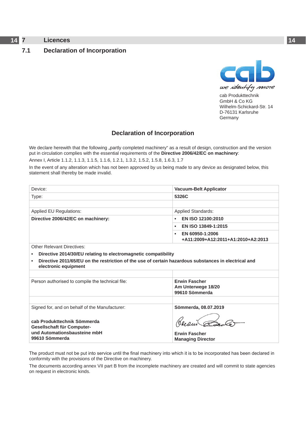# <span id="page-13-0"></span>**14 7 Licences 14**

### <span id="page-13-1"></span>**7.1 Declaration of Incorporation**



cab Produkttechnik GmbH & Co KG Wilhelm-Schickard-Str. 14 D-76131 Karlsruhe **Germany** 

## **Declaration of Incorporation**

We declare herewith that the following "partly completed machinery" as a result of design, construction and the version put in circulation complies with the essential requirements of the **Directive 2006/42/EC on machinery**:

Annex I, Article 1.1.2, 1.1.3, 1.1.5, 1.1.6, 1.2.1, 1.3.2, 1.5.2, 1.5.8, 1.6.3, 1.7

In the event of any alteration which has not been approved by us being made to any device as designated below, this statement shall thereby be made invalid.

| Device:                                                                                                                      | <b>Vacuum-Belt Applicator</b>                              |  |
|------------------------------------------------------------------------------------------------------------------------------|------------------------------------------------------------|--|
| Type:                                                                                                                        | 5326C                                                      |  |
|                                                                                                                              |                                                            |  |
| Applied EU Regulations:                                                                                                      | <b>Applied Standards:</b>                                  |  |
| Directive 2006/42/EC on machinery:                                                                                           | EN ISO 12100:2010<br>$\bullet$                             |  |
|                                                                                                                              | EN ISO 13849-1:2015<br>٠                                   |  |
|                                                                                                                              | EN 60950-1:2006<br>٠<br>+A11:2009+A12:2011+A1:2010+A2:2013 |  |
| Other Relevant Directives:                                                                                                   |                                                            |  |
| Directive 2014/30/EU relating to electromagnetic compatibility                                                               |                                                            |  |
| Directive 2011/65/EU on the restriction of the use of certain hazardous substances in electrical and<br>electronic equipment |                                                            |  |

| <b>Erwin Fascher</b><br>Am Unterwege 18/20<br>99610 Sömmerda |
|--------------------------------------------------------------|
|                                                              |
| Sömmerda, 08.07.2019                                         |
| Gleden                                                       |
| <b>Erwin Fascher</b><br><b>Managing Director</b>             |
|                                                              |

The product must not be put into service until the final machinery into which it is to be incorporated has been declared in conformity with the provisions of the Directive on machinery.

**Managing Director**

The documents according annex VII part B from the incomplete machinery are created and will commit to state agencies on request in electronic kinds.